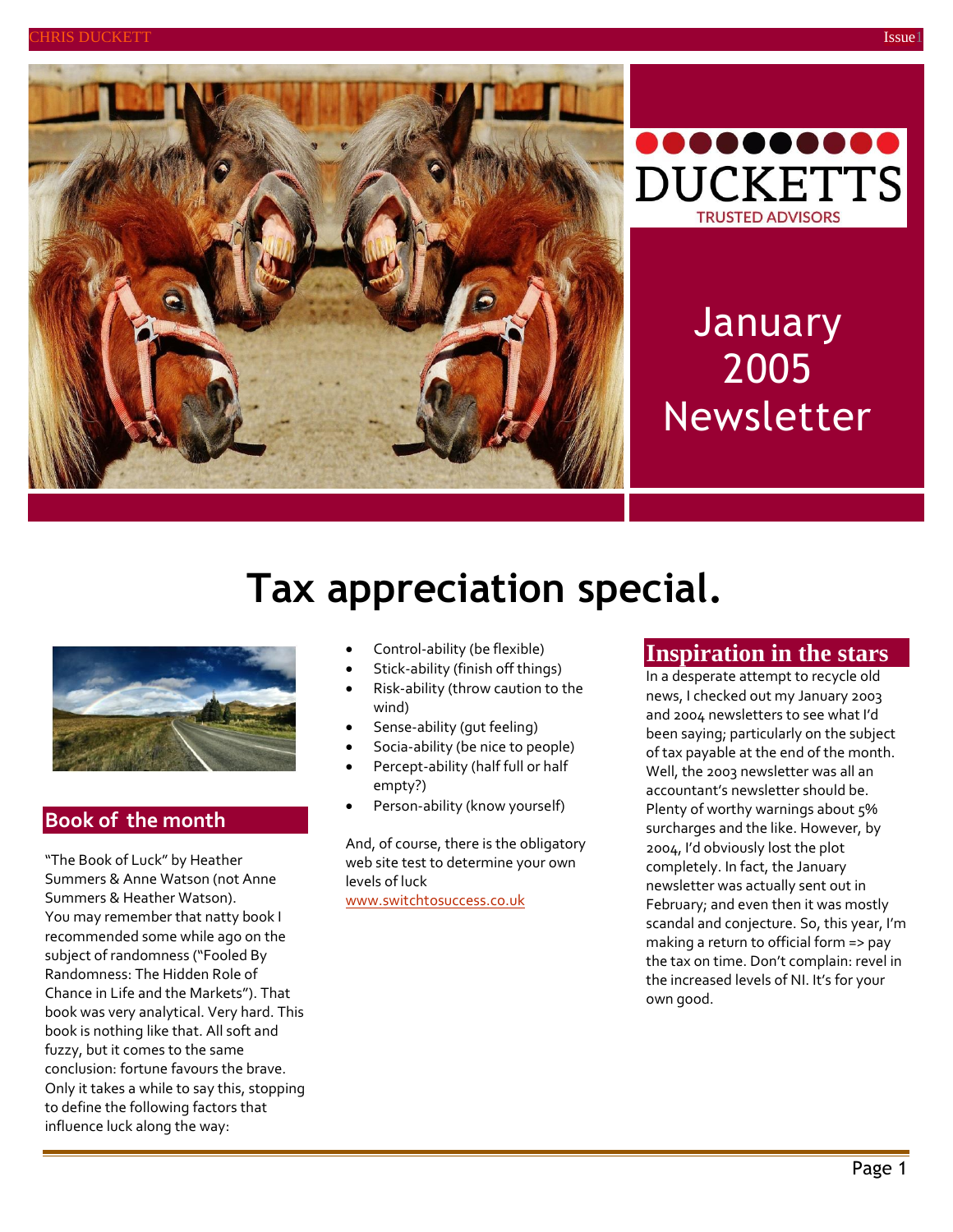



# **January** 2005 Newsletter

# **Tax appreciation special.**



### **Book of the month**

"The Book of Luck" by Heather Summers & Anne Watson (not Anne Summers & Heather Watson). You may remember that natty book I recommended some while ago on the subject of randomness ("Fooled By Randomness: The Hidden Role of Chance in Life and the Markets"). That book was very analytical. Very hard. This book is nothing like that. All soft and fuzzy, but it comes to the same conclusion: fortune favours the brave. Only it takes a while to say this, stopping to define the following factors that influence luck along the way:

- Control-ability (be flexible)
- Stick-ability (finish off things)
- Risk-ability (throw caution to the wind)
- Sense-ability (gut feeling)
- Socia-ability (be nice to people)
- Percept-ability (half full or half empty?)
- Person-ability (know yourself)

And, of course, there is the obligatory web site test to determine your own levels of luck [www.switchtosuccess.co.uk](http://www.switchtosuccess.co.uk/)

### **Inspiration in the stars**

In a desperate attempt to recycle old news, I checked out my January 2003 and 2004 newsletters to see what I'd been saying; particularly on the subject of tax payable at the end of the month. Well, the 2003 newsletter was all an accountant's newsletter should be. Plenty of worthy warnings about 5% surcharges and the like. However, by 2004, I'd obviously lost the plot completely. In fact, the January newsletter was actually sent out in February; and even then it was mostly scandal and conjecture. So, this year, I'm making a return to official form => pay the tax on time. Don't complain: revel in the increased levels of NI. It's for your own good.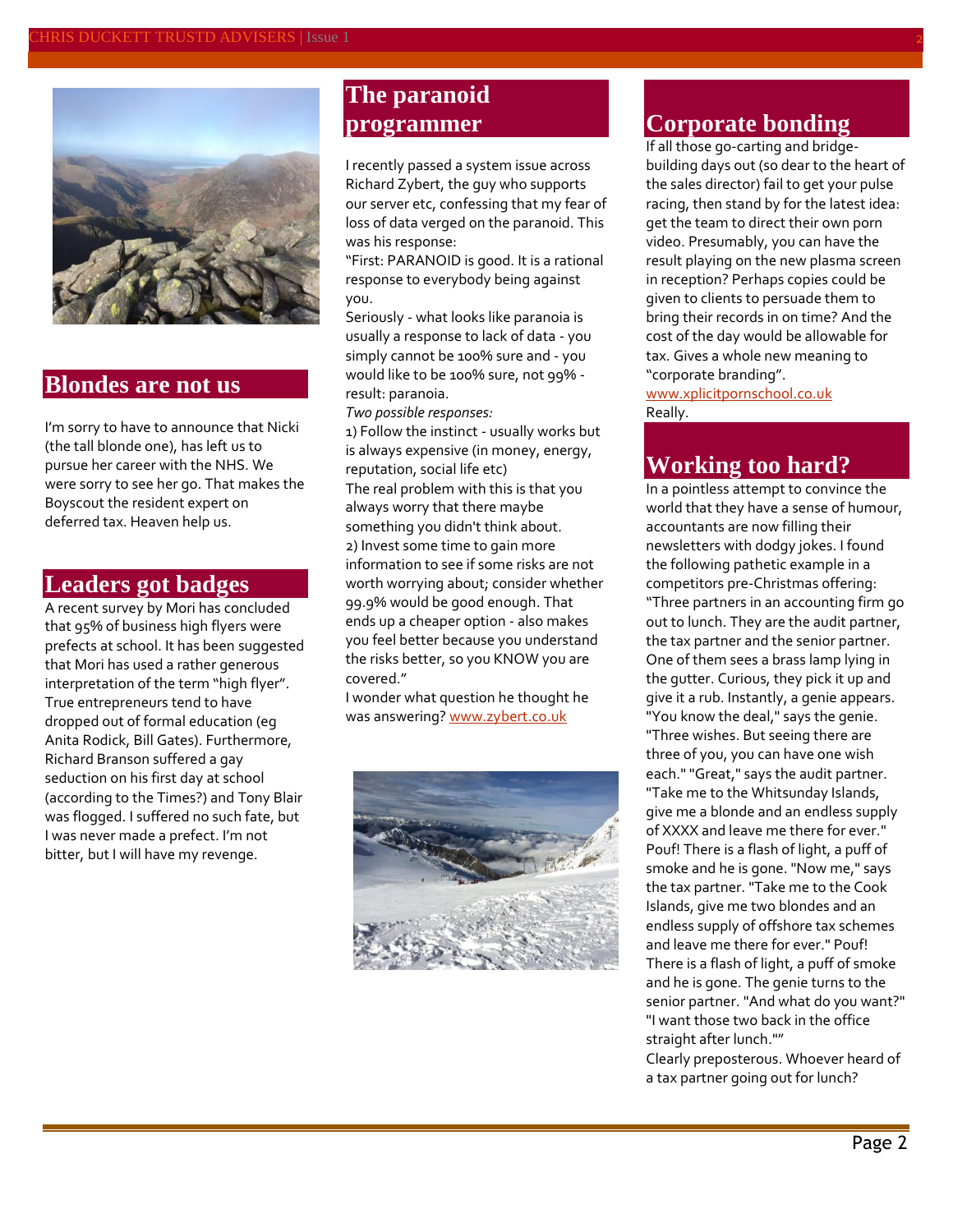

### **Blondes are not us**

I'm sorry to have to announce that Nicki (the tall blonde one), has left us to pursue her career with the NHS. We were sorry to see her go. That makes the Boyscout the resident expert on deferred tax. Heaven help us.

## **Leaders got badges**

A recent survey by Mori has concluded that 95% of business high flyers were prefects at school. It has been suggested that Mori has used a rather generous interpretation of the term "high flyer". True entrepreneurs tend to have dropped out of formal education (eg Anita Rodick, Bill Gates). Furthermore, Richard Branson suffered a gay seduction on his first day at school (according to the Times?) and Tony Blair was flogged. I suffered no such fate, but I was never made a prefect. I'm not bitter, but I will have my revenge.

## **The paranoid programmer**

I recently passed a system issue across Richard Zybert, the guy who supports our server etc, confessing that my fear of loss of data verged on the paranoid. This was his response:

"First: PARANOID is good. It is a rational response to everybody being against you.

Seriously - what looks like paranoia is usually a response to lack of data - you simply cannot be 100% sure and - you would like to be 100% sure, not 99% result: paranoia.

*Two possible responses:*

1) Follow the instinct - usually works but is always expensive (in money, energy, reputation, social life etc) The real problem with this is that you always worry that there maybe something you didn't think about. 2) Invest some time to gain more information to see if some risks are not worth worrying about; consider whether 99.9% would be good enough. That ends up a cheaper option - also makes you feel better because you understand the risks better, so you KNOW you are covered."

I wonder what question he thought he was answering? [www.zybert.co.uk](http://www.zybert.co.uk/)



#### **Corporate bonding**

If all those go-carting and bridgebuilding days out (so dear to the heart of the sales director) fail to get your pulse racing, then stand by for the latest idea: get the team to direct their own porn video. Presumably, you can have the result playing on the new plasma screen in reception? Perhaps copies could be given to clients to persuade them to bring their records in on time? And the cost of the day would be allowable for tax. Gives a whole new meaning to "corporate branding".

[www.xplicitpornschool.co.uk](http://www.xplicitpornschool.co.uk/) Really.

## **Working too hard?**

In a pointless attempt to convince the world that they have a sense of humour, accountants are now filling their newsletters with dodgy jokes. I found the following pathetic example in a competitors pre-Christmas offering: "Three partners in an accounting firm go out to lunch. They are the audit partner, the tax partner and the senior partner. One of them sees a brass lamp lying in the gutter. Curious, they pick it up and give it a rub. Instantly, a genie appears. "You know the deal," says the genie. "Three wishes. But seeing there are three of you, you can have one wish each." "Great," says the audit partner. "Take me to the Whitsunday Islands, give me a blonde and an endless supply of XXXX and leave me there for ever." Pouf! There is a flash of light, a puff of smoke and he is gone. "Now me," says the tax partner. "Take me to the Cook Islands, give me two blondes and an endless supply of offshore tax schemes and leave me there for ever." Pouf! There is a flash of light, a puff of smoke and he is gone. The genie turns to the senior partner. "And what do you want?" "I want those two back in the office straight after lunch.""

Clearly preposterous. Whoever heard of a tax partner going out for lunch?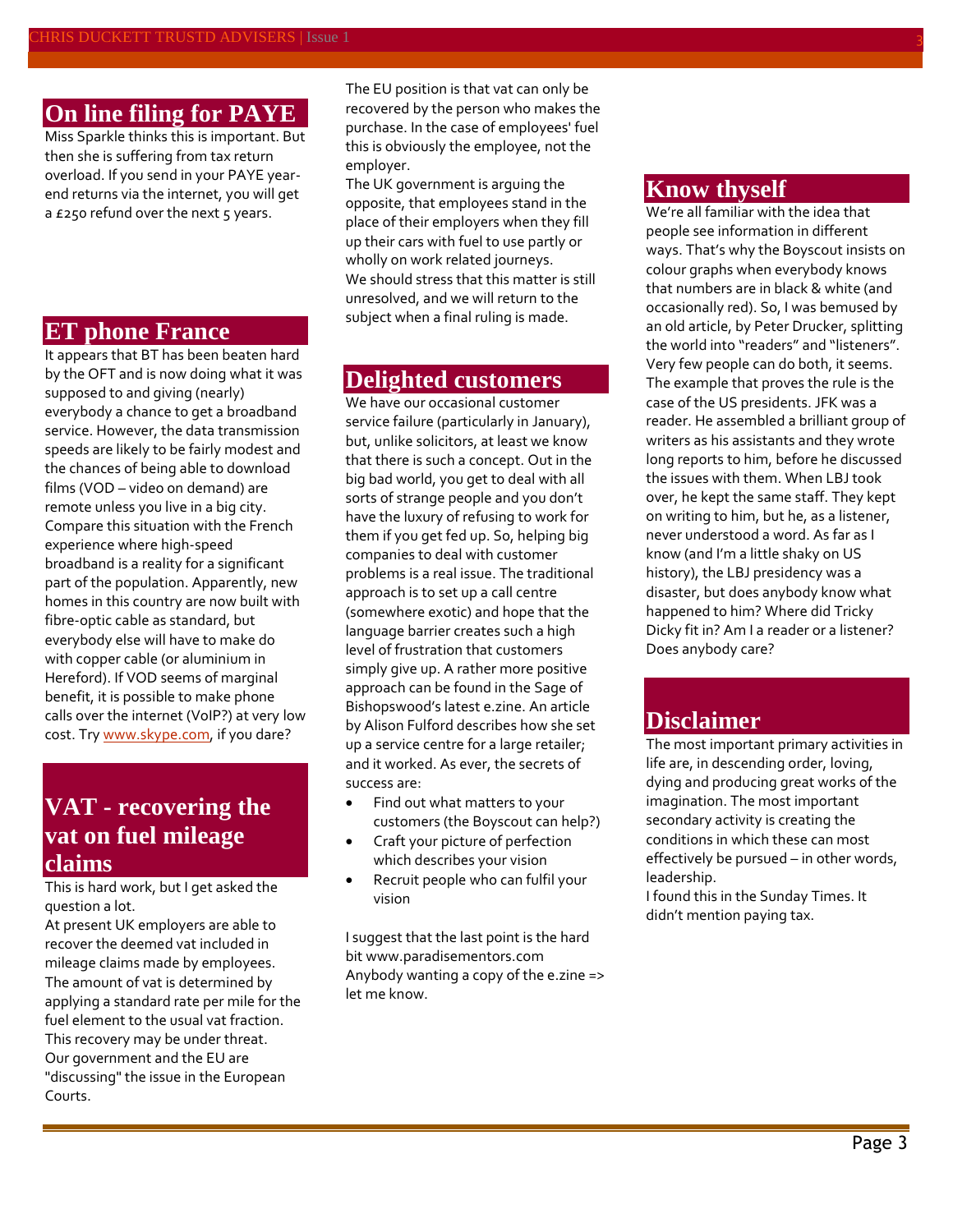## **On line filing for PAYE**

Miss Sparkle thinks this is important. But then she is suffering from tax return overload. If you send in your PAYE yearend returns via the internet, you will get a £250 refund over the next 5 years.

#### **ET phone France**

It appears that BT has been beaten hard by the OFT and is now doing what it was supposed to and giving (nearly) everybody a chance to get a broadband service. However, the data transmission speeds are likely to be fairly modest and the chances of being able to download films (VOD – video on demand) are remote unless you live in a big city. Compare this situation with the French experience where high-speed broadband is a reality for a significant part of the population. Apparently, new homes in this country are now built with fibre-optic cable as standard, but everybody else will have to make do with copper cable (or aluminium in Hereford). If VOD seems of marginal benefit, it is possible to make phone calls over the internet (VoIP?) at very low cost. Tr[y www.skype.com,](http://www.skype.com/) if you dare?

## **VAT - recovering the vat on fuel mileage claims**

This is hard work, but I get asked the question a lot.

At present UK employers are able to recover the deemed vat included in mileage claims made by employees. The amount of vat is determined by applying a standard rate per mile for the fuel element to the usual vat fraction. This recovery may be under threat. Our government and the EU are "discussing" the issue in the European Courts.

The EU position is that vat can only be recovered by the person who makes the purchase. In the case of employees' fuel this is obviously the employee, not the employer.

The UK government is arguing the opposite, that employees stand in the place of their employers when they fill up their cars with fuel to use partly or wholly on work related journeys. We should stress that this matter is still unresolved, and we will return to the subject when a final ruling is made.

### **Delighted customers**

We have our occasional customer service failure (particularly in January), but, unlike solicitors, at least we know that there is such a concept. Out in the big bad world, you get to deal with all sorts of strange people and you don't have the luxury of refusing to work for them if you get fed up. So, helping big companies to deal with customer problems is a real issue. The traditional approach is to set up a call centre (somewhere exotic) and hope that the language barrier creates such a high level of frustration that customers simply give up. A rather more positive approach can be found in the Sage of Bishopswood's latest e.zine. An article by Alison Fulford describes how she set up a service centre for a large retailer; and it worked. As ever, the secrets of success are:

- Find out what matters to your customers (the Boyscout can help?)
- Craft your picture of perfection which describes your vision
- Recruit people who can fulfil your vision

I suggest that the last point is the hard bi[t www.paradisementors.com](http://www.paradisementors.com/) Anybody wanting a copy of the e.zine => let me know.

#### **Know thyself**

We're all familiar with the idea that people see information in different ways. That's why the Boyscout insists on colour graphs when everybody knows that numbers are in black & white (and occasionally red). So, I was bemused by an old article, by Peter Drucker, splitting the world into "readers" and "listeners". Very few people can do both, it seems. The example that proves the rule is the case of the US presidents. JFK was a reader. He assembled a brilliant group of writers as his assistants and they wrote long reports to him, before he discussed the issues with them. When LBJ took over, he kept the same staff. They kept on writing to him, but he, as a listener, never understood a word. As far as I know (and I'm a little shaky on US history), the LBJ presidency was a disaster, but does anybody know what happened to him? Where did Tricky Dicky fit in? Am I a reader or a listener? Does anybody care?

## **Disclaimer**

The most important primary activities in life are, in descending order, loving, dying and producing great works of the imagination. The most important secondary activity is creating the conditions in which these can most effectively be pursued – in other words, leadership.

I found this in the Sunday Times. It didn't mention paying tax.